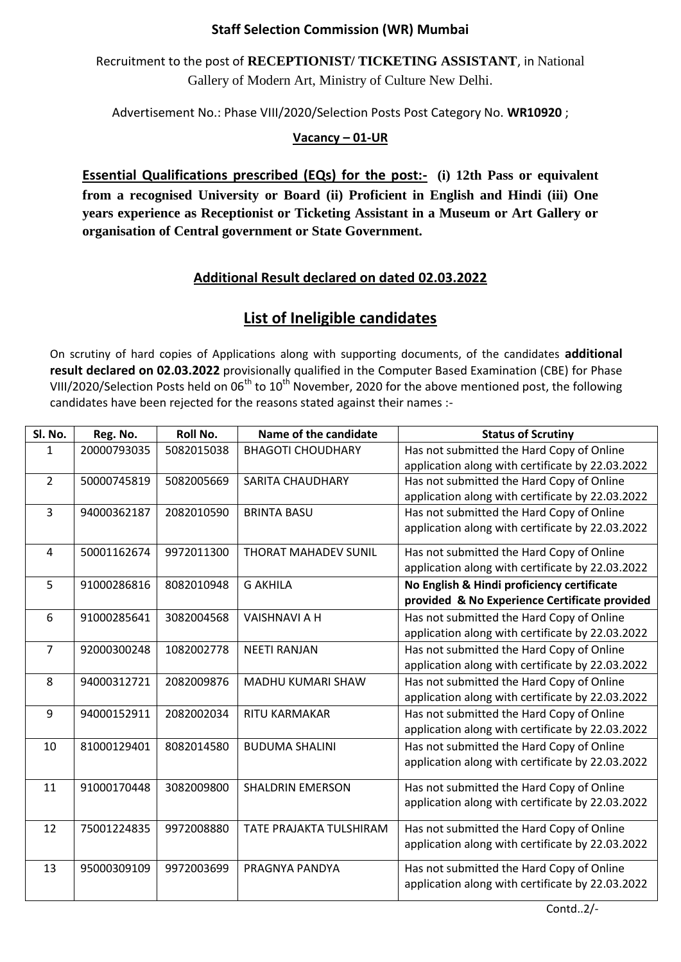## **Staff Selection Commission (WR) Mumbai**

Recruitment to the post of **RECEPTIONIST/ TICKETING ASSISTANT**, in National Gallery of Modern Art, Ministry of Culture New Delhi.

Advertisement No.: Phase VIII/2020/Selection Posts Post Category No. **WR10920** ;

## **Vacancy – 01-UR**

**Essential Qualifications prescribed (EQs) for the post:- (i) 12th Pass or equivalent from a recognised University or Board (ii) Proficient in English and Hindi (iii) One years experience as Receptionist or Ticketing Assistant in a Museum or Art Gallery or organisation of Central government or State Government.**

## **Additional Result declared on dated 02.03.2022**

## **List of Ineligible candidates**

On scrutiny of hard copies of Applications along with supporting documents, of the candidates **additional result declared on 02.03.2022** provisionally qualified in the Computer Based Examination (CBE) for Phase VIII/2020/Selection Posts held on  $06<sup>th</sup>$  to  $10<sup>th</sup>$  November, 2020 for the above mentioned post, the following candidates have been rejected for the reasons stated against their names :-

| SI. No.        | Reg. No.    | <b>Roll No.</b> | Name of the candidate       | <b>Status of Scrutiny</b>                        |
|----------------|-------------|-----------------|-----------------------------|--------------------------------------------------|
| 1              | 20000793035 | 5082015038      | <b>BHAGOTI CHOUDHARY</b>    | Has not submitted the Hard Copy of Online        |
|                |             |                 |                             | application along with certificate by 22.03.2022 |
| $\overline{2}$ | 50000745819 | 5082005669      | <b>SARITA CHAUDHARY</b>     | Has not submitted the Hard Copy of Online        |
|                |             |                 |                             | application along with certificate by 22.03.2022 |
| 3              | 94000362187 | 2082010590      | <b>BRINTA BASU</b>          | Has not submitted the Hard Copy of Online        |
|                |             |                 |                             | application along with certificate by 22.03.2022 |
| 4              | 50001162674 | 9972011300      | <b>THORAT MAHADEV SUNIL</b> | Has not submitted the Hard Copy of Online        |
|                |             |                 |                             | application along with certificate by 22.03.2022 |
| 5              | 91000286816 | 8082010948      | <b>G AKHILA</b>             | No English & Hindi proficiency certificate       |
|                |             |                 |                             | provided & No Experience Certificate provided    |
| 6              | 91000285641 | 3082004568      | <b>VAISHNAVI A H</b>        | Has not submitted the Hard Copy of Online        |
|                |             |                 |                             | application along with certificate by 22.03.2022 |
| $\overline{7}$ | 92000300248 | 1082002778      | <b>NEETI RANJAN</b>         | Has not submitted the Hard Copy of Online        |
|                |             |                 |                             | application along with certificate by 22.03.2022 |
| 8              | 94000312721 | 2082009876      | <b>MADHU KUMARI SHAW</b>    | Has not submitted the Hard Copy of Online        |
|                |             |                 |                             | application along with certificate by 22.03.2022 |
| 9              | 94000152911 | 2082002034      | <b>RITU KARMAKAR</b>        | Has not submitted the Hard Copy of Online        |
|                |             |                 |                             | application along with certificate by 22.03.2022 |
| 10             | 81000129401 | 8082014580      | <b>BUDUMA SHALINI</b>       | Has not submitted the Hard Copy of Online        |
|                |             |                 |                             | application along with certificate by 22.03.2022 |
| 11             | 91000170448 | 3082009800      | <b>SHALDRIN EMERSON</b>     | Has not submitted the Hard Copy of Online        |
|                |             |                 |                             | application along with certificate by 22.03.2022 |
| 12             | 75001224835 | 9972008880      | TATE PRAJAKTA TULSHIRAM     | Has not submitted the Hard Copy of Online        |
|                |             |                 |                             | application along with certificate by 22.03.2022 |
| 13             | 95000309109 | 9972003699      | PRAGNYA PANDYA              | Has not submitted the Hard Copy of Online        |
|                |             |                 |                             | application along with certificate by 22.03.2022 |